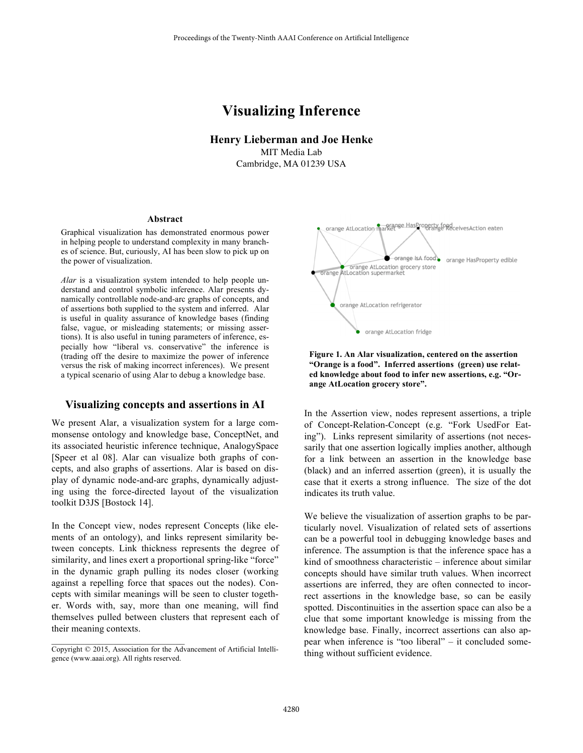# **Visualizing Inference**

**Henry Lieberman and Joe Henke** MIT Media Lab Cambridge, MA 01239 USA

#### **Abstract**

Graphical visualization has demonstrated enormous power in helping people to understand complexity in many branches of science. But, curiously, AI has been slow to pick up on the power of visualization.

*Alar* is a visualization system intended to help people understand and control symbolic inference. Alar presents dynamically controllable node-and-arc graphs of concepts, and of assertions both supplied to the system and inferred. Alar is useful in quality assurance of knowledge bases (finding false, vague, or misleading statements; or missing assertions). It is also useful in tuning parameters of inference, especially how "liberal vs. conservative" the inference is (trading off the desire to maximize the power of inference versus the risk of making incorrect inferences). We present a typical scenario of using Alar to debug a knowledge base.

#### **Visualizing concepts and assertions in AI**

We present Alar, a visualization system for a large commonsense ontology and knowledge base, ConceptNet, and its associated heuristic inference technique, AnalogySpace [Speer et al 08]. Alar can visualize both graphs of concepts, and also graphs of assertions. Alar is based on display of dynamic node-and-arc graphs, dynamically adjusting using the force-directed layout of the visualization toolkit D3JS [Bostock 14].

In the Concept view, nodes represent Concepts (like elements of an ontology), and links represent similarity between concepts. Link thickness represents the degree of similarity, and lines exert a proportional spring-like "force" in the dynamic graph pulling its nodes closer (working against a repelling force that spaces out the nodes). Concepts with similar meanings will be seen to cluster together. Words with, say, more than one meaning, will find themselves pulled between clusters that represent each of their meaning contexts.





**Figure 1. An Alar visualization, centered on the assertion "Orange is a food". Inferred assertions (green) use related knowledge about food to infer new assertions, e.g. "Orange AtLocation grocery store".**

In the Assertion view, nodes represent assertions, a triple of Concept-Relation-Concept (e.g. "Fork UsedFor Eating"). Links represent similarity of assertions (not necessarily that one assertion logically implies another, although for a link between an assertion in the knowledge base (black) and an inferred assertion (green), it is usually the case that it exerts a strong influence. The size of the dot indicates its truth value.

We believe the visualization of assertion graphs to be particularly novel. Visualization of related sets of assertions can be a powerful tool in debugging knowledge bases and inference. The assumption is that the inference space has a kind of smoothness characteristic – inference about similar concepts should have similar truth values. When incorrect assertions are inferred, they are often connected to incorrect assertions in the knowledge base, so can be easily spotted. Discontinuities in the assertion space can also be a clue that some important knowledge is missing from the knowledge base. Finally, incorrect assertions can also appear when inference is "too liberal" – it concluded something without sufficient evidence.